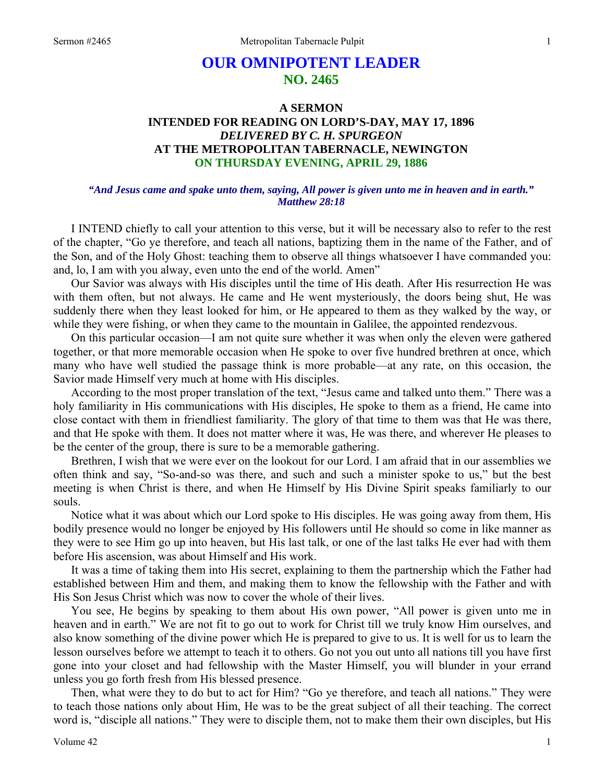# **OUR OMNIPOTENT LEADER NO. 2465**

# **A SERMON INTENDED FOR READING ON LORD'S-DAY, MAY 17, 1896**  *DELIVERED BY C. H. SPURGEON*  **AT THE METROPOLITAN TABERNACLE, NEWINGTON ON THURSDAY EVENING, APRIL 29, 1886**

#### *"And Jesus came and spake unto them, saying, All power is given unto me in heaven and in earth." Matthew 28:18*

I INTEND chiefly to call your attention to this verse, but it will be necessary also to refer to the rest of the chapter, "Go ye therefore, and teach all nations, baptizing them in the name of the Father, and of the Son, and of the Holy Ghost: teaching them to observe all things whatsoever I have commanded you: and, lo, I am with you alway, even unto the end of the world. Amen"

Our Savior was always with His disciples until the time of His death. After His resurrection He was with them often, but not always. He came and He went mysteriously, the doors being shut, He was suddenly there when they least looked for him, or He appeared to them as they walked by the way, or while they were fishing, or when they came to the mountain in Galilee, the appointed rendezvous.

On this particular occasion—I am not quite sure whether it was when only the eleven were gathered together, or that more memorable occasion when He spoke to over five hundred brethren at once, which many who have well studied the passage think is more probable—at any rate, on this occasion, the Savior made Himself very much at home with His disciples.

According to the most proper translation of the text, "Jesus came and talked unto them." There was a holy familiarity in His communications with His disciples, He spoke to them as a friend, He came into close contact with them in friendliest familiarity. The glory of that time to them was that He was there, and that He spoke with them. It does not matter where it was, He was there, and wherever He pleases to be the center of the group, there is sure to be a memorable gathering.

Brethren, I wish that we were ever on the lookout for our Lord. I am afraid that in our assemblies we often think and say, "So-and-so was there, and such and such a minister spoke to us," but the best meeting is when Christ is there, and when He Himself by His Divine Spirit speaks familiarly to our souls.

Notice what it was about which our Lord spoke to His disciples. He was going away from them, His bodily presence would no longer be enjoyed by His followers until He should so come in like manner as they were to see Him go up into heaven, but His last talk, or one of the last talks He ever had with them before His ascension, was about Himself and His work.

It was a time of taking them into His secret, explaining to them the partnership which the Father had established between Him and them, and making them to know the fellowship with the Father and with His Son Jesus Christ which was now to cover the whole of their lives.

You see, He begins by speaking to them about His own power, "All power is given unto me in heaven and in earth." We are not fit to go out to work for Christ till we truly know Him ourselves, and also know something of the divine power which He is prepared to give to us. It is well for us to learn the lesson ourselves before we attempt to teach it to others. Go not you out unto all nations till you have first gone into your closet and had fellowship with the Master Himself, you will blunder in your errand unless you go forth fresh from His blessed presence.

Then, what were they to do but to act for Him? "Go ye therefore, and teach all nations." They were to teach those nations only about Him, He was to be the great subject of all their teaching. The correct word is, "disciple all nations." They were to disciple them, not to make them their own disciples, but His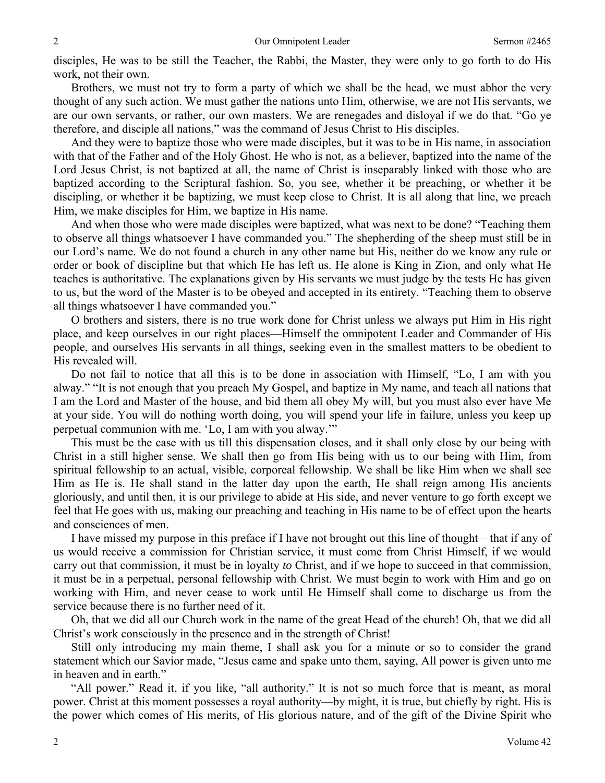disciples, He was to be still the Teacher, the Rabbi, the Master, they were only to go forth to do His work, not their own.

Brothers, we must not try to form a party of which we shall be the head, we must abhor the very thought of any such action. We must gather the nations unto Him, otherwise, we are not His servants, we are our own servants, or rather, our own masters. We are renegades and disloyal if we do that. "Go ye therefore, and disciple all nations," was the command of Jesus Christ to His disciples.

And they were to baptize those who were made disciples, but it was to be in His name, in association with that of the Father and of the Holy Ghost. He who is not, as a believer, baptized into the name of the Lord Jesus Christ, is not baptized at all, the name of Christ is inseparably linked with those who are baptized according to the Scriptural fashion. So, you see, whether it be preaching, or whether it be discipling, or whether it be baptizing, we must keep close to Christ. It is all along that line, we preach Him, we make disciples for Him, we baptize in His name.

And when those who were made disciples were baptized, what was next to be done? "Teaching them to observe all things whatsoever I have commanded you." The shepherding of the sheep must still be in our Lord's name. We do not found a church in any other name but His, neither do we know any rule or order or book of discipline but that which He has left us. He alone is King in Zion, and only what He teaches is authoritative. The explanations given by His servants we must judge by the tests He has given to us, but the word of the Master is to be obeyed and accepted in its entirety. "Teaching them to observe all things whatsoever I have commanded you."

O brothers and sisters, there is no true work done for Christ unless we always put Him in His right place, and keep ourselves in our right places—Himself the omnipotent Leader and Commander of His people, and ourselves His servants in all things, seeking even in the smallest matters to be obedient to His revealed will.

Do not fail to notice that all this is to be done in association with Himself, "Lo, I am with you alway." "It is not enough that you preach My Gospel, and baptize in My name, and teach all nations that I am the Lord and Master of the house, and bid them all obey My will, but you must also ever have Me at your side. You will do nothing worth doing, you will spend your life in failure, unless you keep up perpetual communion with me. 'Lo, I am with you alway.'"

This must be the case with us till this dispensation closes, and it shall only close by our being with Christ in a still higher sense. We shall then go from His being with us to our being with Him, from spiritual fellowship to an actual, visible, corporeal fellowship. We shall be like Him when we shall see Him as He is. He shall stand in the latter day upon the earth, He shall reign among His ancients gloriously, and until then, it is our privilege to abide at His side, and never venture to go forth except we feel that He goes with us, making our preaching and teaching in His name to be of effect upon the hearts and consciences of men.

I have missed my purpose in this preface if I have not brought out this line of thought—that if any of us would receive a commission for Christian service, it must come from Christ Himself, if we would carry out that commission, it must be in loyalty *to* Christ, and if we hope to succeed in that commission, it must be in a perpetual, personal fellowship with Christ. We must begin to work with Him and go on working with Him, and never cease to work until He Himself shall come to discharge us from the service because there is no further need of it.

Oh, that we did all our Church work in the name of the great Head of the church! Oh, that we did all Christ's work consciously in the presence and in the strength of Christ!

Still only introducing my main theme, I shall ask you for a minute or so to consider the grand statement which our Savior made, "Jesus came and spake unto them, saying, All power is given unto me in heaven and in earth."

"All power." Read it, if you like, "all authority." It is not so much force that is meant, as moral power. Christ at this moment possesses a royal authority—by might, it is true, but chiefly by right. His is the power which comes of His merits, of His glorious nature, and of the gift of the Divine Spirit who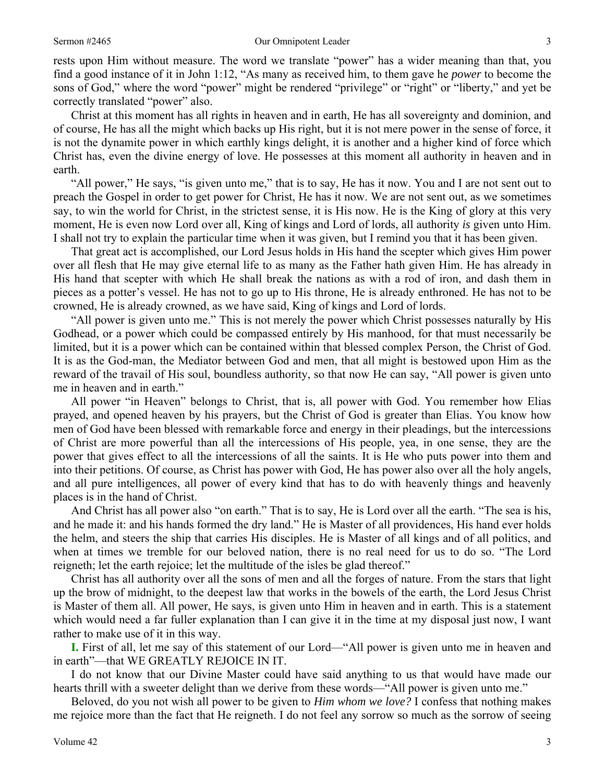rests upon Him without measure. The word we translate "power" has a wider meaning than that, you find a good instance of it in John 1:12, "As many as received him, to them gave he *power* to become the sons of God," where the word "power" might be rendered "privilege" or "right" or "liberty," and yet be correctly translated "power" also.

Christ at this moment has all rights in heaven and in earth, He has all sovereignty and dominion, and of course, He has all the might which backs up His right, but it is not mere power in the sense of force, it is not the dynamite power in which earthly kings delight, it is another and a higher kind of force which Christ has, even the divine energy of love. He possesses at this moment all authority in heaven and in earth.

"All power," He says, "is given unto me," that is to say, He has it now. You and I are not sent out to preach the Gospel in order to get power for Christ, He has it now. We are not sent out, as we sometimes say, to win the world for Christ, in the strictest sense, it is His now. He is the King of glory at this very moment, He is even now Lord over all, King of kings and Lord of lords, all authority *is* given unto Him. I shall not try to explain the particular time when it was given, but I remind you that it has been given.

That great act is accomplished, our Lord Jesus holds in His hand the scepter which gives Him power over all flesh that He may give eternal life to as many as the Father hath given Him. He has already in His hand that scepter with which He shall break the nations as with a rod of iron, and dash them in pieces as a potter's vessel. He has not to go up to His throne, He is already enthroned. He has not to be crowned, He is already crowned, as we have said, King of kings and Lord of lords.

"All power is given unto me." This is not merely the power which Christ possesses naturally by His Godhead, or a power which could be compassed entirely by His manhood, for that must necessarily be limited, but it is a power which can be contained within that blessed complex Person, the Christ of God. It is as the God-man, the Mediator between God and men, that all might is bestowed upon Him as the reward of the travail of His soul, boundless authority, so that now He can say, "All power is given unto me in heaven and in earth."

All power "in Heaven" belongs to Christ, that is, all power with God. You remember how Elias prayed, and opened heaven by his prayers, but the Christ of God is greater than Elias. You know how men of God have been blessed with remarkable force and energy in their pleadings, but the intercessions of Christ are more powerful than all the intercessions of His people, yea, in one sense, they are the power that gives effect to all the intercessions of all the saints. It is He who puts power into them and into their petitions. Of course, as Christ has power with God, He has power also over all the holy angels, and all pure intelligences, all power of every kind that has to do with heavenly things and heavenly places is in the hand of Christ.

And Christ has all power also "on earth." That is to say, He is Lord over all the earth. "The sea is his, and he made it: and his hands formed the dry land." He is Master of all providences, His hand ever holds the helm, and steers the ship that carries His disciples. He is Master of all kings and of all politics, and when at times we tremble for our beloved nation, there is no real need for us to do so. "The Lord reigneth; let the earth rejoice; let the multitude of the isles be glad thereof."

Christ has all authority over all the sons of men and all the forges of nature. From the stars that light up the brow of midnight, to the deepest law that works in the bowels of the earth, the Lord Jesus Christ is Master of them all. All power, He says, is given unto Him in heaven and in earth. This is a statement which would need a far fuller explanation than I can give it in the time at my disposal just now, I want rather to make use of it in this way.

**I.** First of all, let me say of this statement of our Lord—"All power is given unto me in heaven and in earth"—that WE GREATLY REJOICE IN IT.

I do not know that our Divine Master could have said anything to us that would have made our hearts thrill with a sweeter delight than we derive from these words—"All power is given unto me."

Beloved, do you not wish all power to be given to *Him whom we love?* I confess that nothing makes me rejoice more than the fact that He reigneth. I do not feel any sorrow so much as the sorrow of seeing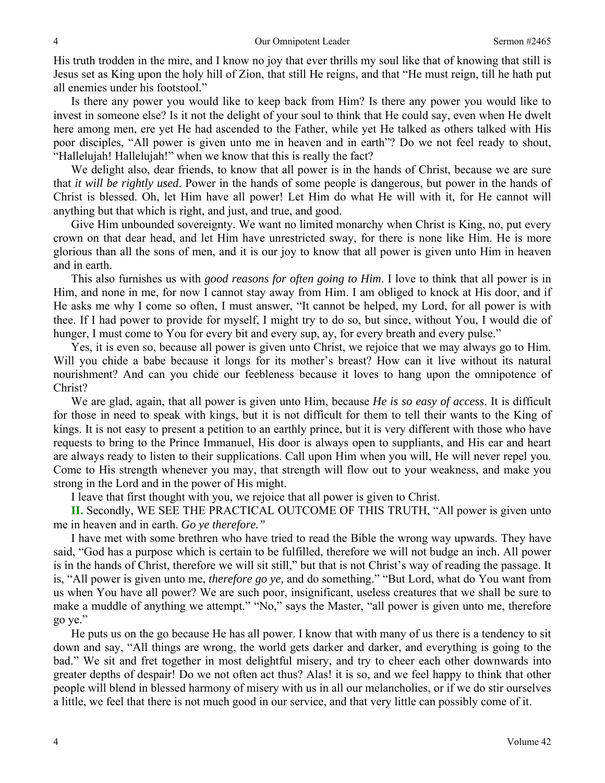His truth trodden in the mire, and I know no joy that ever thrills my soul like that of knowing that still is Jesus set as King upon the holy hill of Zion, that still He reigns, and that "He must reign, till he hath put all enemies under his footstool."

Is there any power you would like to keep back from Him? Is there any power you would like to invest in someone else? Is it not the delight of your soul to think that He could say, even when He dwelt here among men, ere yet He had ascended to the Father, while yet He talked as others talked with His poor disciples, "All power is given unto me in heaven and in earth"? Do we not feel ready to shout, "Hallelujah! Hallelujah!" when we know that this is really the fact?

We delight also, dear friends, to know that all power is in the hands of Christ, because we are sure that *it will be rightly used*. Power in the hands of some people is dangerous, but power in the hands of Christ is blessed. Oh, let Him have all power! Let Him do what He will with it, for He cannot will anything but that which is right, and just, and true, and good.

Give Him unbounded sovereignty. We want no limited monarchy when Christ is King, no, put every crown on that dear head, and let Him have unrestricted sway, for there is none like Him. He is more glorious than all the sons of men, and it is our joy to know that all power is given unto Him in heaven and in earth.

This also furnishes us with *good reasons for often going to Him*. I love to think that all power is in Him, and none in me, for now I cannot stay away from Him. I am obliged to knock at His door, and if He asks me why I come so often, I must answer, "It cannot be helped, my Lord, for all power is with thee. If I had power to provide for myself, I might try to do so, but since, without You, I would die of hunger, I must come to You for every bit and every sup, ay, for every breath and every pulse."

Yes, it is even so, because all power is given unto Christ, we rejoice that we may always go to Him. Will you chide a babe because it longs for its mother's breast? How can it live without its natural nourishment? And can you chide our feebleness because it loves to hang upon the omnipotence of Christ?

We are glad, again, that all power is given unto Him, because *He is so easy of access*. It is difficult for those in need to speak with kings, but it is not difficult for them to tell their wants to the King of kings. It is not easy to present a petition to an earthly prince, but it is very different with those who have requests to bring to the Prince Immanuel, His door is always open to suppliants, and His ear and heart are always ready to listen to their supplications. Call upon Him when you will, He will never repel you. Come to His strength whenever you may, that strength will flow out to your weakness, and make you strong in the Lord and in the power of His might.

I leave that first thought with you, we rejoice that all power is given to Christ.

**II.** Secondly, WE SEE THE PRACTICAL OUTCOME OF THIS TRUTH, "All power is given unto me in heaven and in earth. *Go ye therefore."*

I have met with some brethren who have tried to read the Bible the wrong way upwards. They have said, "God has a purpose which is certain to be fulfilled, therefore we will not budge an inch. All power is in the hands of Christ, therefore we will sit still," but that is not Christ's way of reading the passage. It is, "All power is given unto me, *therefore go ye,* and do something." "But Lord, what do You want from us when You have all power? We are such poor, insignificant, useless creatures that we shall be sure to make a muddle of anything we attempt." "No," says the Master, "all power is given unto me, therefore go ye."

He puts us on the go because He has all power. I know that with many of us there is a tendency to sit down and say, "All things are wrong, the world gets darker and darker, and everything is going to the bad." We sit and fret together in most delightful misery, and try to cheer each other downwards into greater depths of despair! Do we not often act thus? Alas! it is so, and we feel happy to think that other people will blend in blessed harmony of misery with us in all our melancholies, or if we do stir ourselves a little, we feel that there is not much good in our service, and that very little can possibly come of it.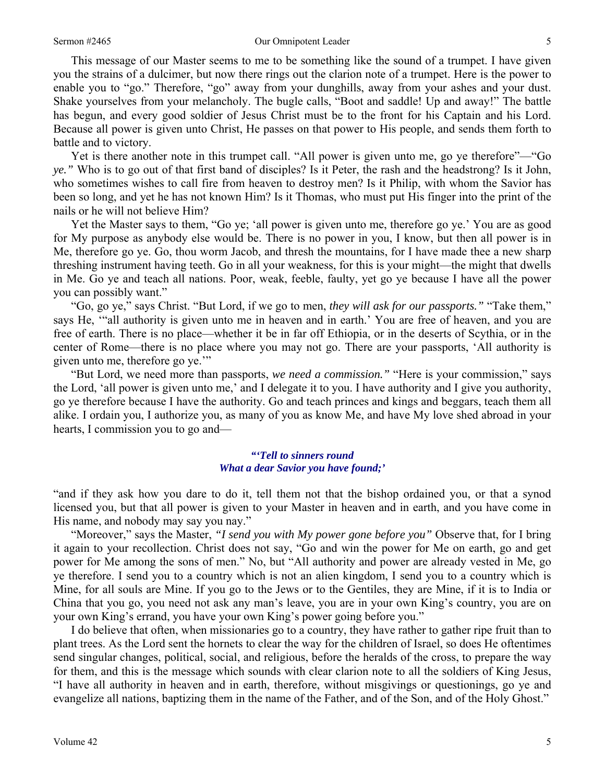This message of our Master seems to me to be something like the sound of a trumpet. I have given you the strains of a dulcimer, but now there rings out the clarion note of a trumpet. Here is the power to enable you to "go." Therefore, "go" away from your dunghills, away from your ashes and your dust. Shake yourselves from your melancholy. The bugle calls, "Boot and saddle! Up and away!" The battle has begun, and every good soldier of Jesus Christ must be to the front for his Captain and his Lord. Because all power is given unto Christ, He passes on that power to His people, and sends them forth to battle and to victory.

Yet is there another note in this trumpet call. "All power is given unto me, go ye therefore"—"Go *ye."* Who is to go out of that first band of disciples? Is it Peter, the rash and the headstrong? Is it John, who sometimes wishes to call fire from heaven to destroy men? Is it Philip, with whom the Savior has been so long, and yet he has not known Him? Is it Thomas, who must put His finger into the print of the nails or he will not believe Him?

Yet the Master says to them, "Go ye; 'all power is given unto me, therefore go ye.' You are as good for My purpose as anybody else would be. There is no power in you, I know, but then all power is in Me, therefore go ye. Go, thou worm Jacob, and thresh the mountains, for I have made thee a new sharp threshing instrument having teeth. Go in all your weakness, for this is your might—the might that dwells in Me. Go ye and teach all nations. Poor, weak, feeble, faulty, yet go ye because I have all the power you can possibly want."

"Go, go ye," says Christ. "But Lord, if we go to men, *they will ask for our passports."* "Take them," says He, '"all authority is given unto me in heaven and in earth.' You are free of heaven, and you are free of earth. There is no place—whether it be in far off Ethiopia, or in the deserts of Scythia, or in the center of Rome—there is no place where you may not go. There are your passports, 'All authority is given unto me, therefore go ye.'"

"But Lord, we need more than passports, *we need a commission."* "Here is your commission," says the Lord, 'all power is given unto me,' and I delegate it to you. I have authority and I give you authority, go ye therefore because I have the authority. Go and teach princes and kings and beggars, teach them all alike. I ordain you, I authorize you, as many of you as know Me, and have My love shed abroad in your hearts, I commission you to go and—

#### *"'Tell to sinners round What a dear Savior you have found;'*

"and if they ask how you dare to do it, tell them not that the bishop ordained you, or that a synod licensed you, but that all power is given to your Master in heaven and in earth, and you have come in His name, and nobody may say you nay."

"Moreover," says the Master, *"I send you with My power gone before you"* Observe that, for I bring it again to your recollection. Christ does not say, "Go and win the power for Me on earth, go and get power for Me among the sons of men." No, but "All authority and power are already vested in Me, go ye therefore. I send you to a country which is not an alien kingdom, I send you to a country which is Mine, for all souls are Mine. If you go to the Jews or to the Gentiles, they are Mine, if it is to India or China that you go, you need not ask any man's leave, you are in your own King's country, you are on your own King's errand, you have your own King's power going before you."

I do believe that often, when missionaries go to a country, they have rather to gather ripe fruit than to plant trees. As the Lord sent the hornets to clear the way for the children of Israel, so does He oftentimes send singular changes, political, social, and religious, before the heralds of the cross, to prepare the way for them, and this is the message which sounds with clear clarion note to all the soldiers of King Jesus, "I have all authority in heaven and in earth, therefore, without misgivings or questionings, go ye and evangelize all nations, baptizing them in the name of the Father, and of the Son, and of the Holy Ghost."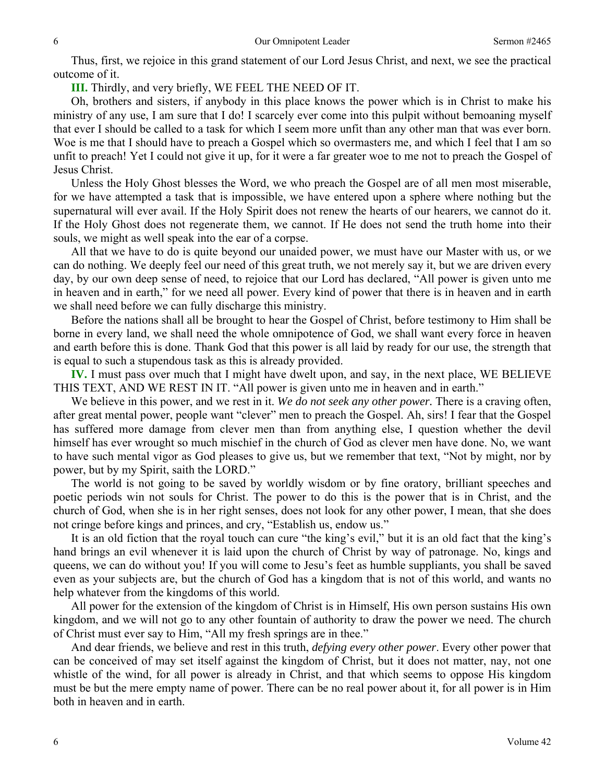Thus, first, we rejoice in this grand statement of our Lord Jesus Christ, and next, we see the practical outcome of it.

**III.** Thirdly, and very briefly, WE FEEL THE NEED OF IT.

Oh, brothers and sisters, if anybody in this place knows the power which is in Christ to make his ministry of any use, I am sure that I do! I scarcely ever come into this pulpit without bemoaning myself that ever I should be called to a task for which I seem more unfit than any other man that was ever born. Woe is me that I should have to preach a Gospel which so overmasters me, and which I feel that I am so unfit to preach! Yet I could not give it up, for it were a far greater woe to me not to preach the Gospel of Jesus Christ.

Unless the Holy Ghost blesses the Word, we who preach the Gospel are of all men most miserable, for we have attempted a task that is impossible, we have entered upon a sphere where nothing but the supernatural will ever avail. If the Holy Spirit does not renew the hearts of our hearers, we cannot do it. If the Holy Ghost does not regenerate them, we cannot. If He does not send the truth home into their souls, we might as well speak into the ear of a corpse.

All that we have to do is quite beyond our unaided power, we must have our Master with us, or we can do nothing. We deeply feel our need of this great truth, we not merely say it, but we are driven every day, by our own deep sense of need, to rejoice that our Lord has declared, "All power is given unto me in heaven and in earth," for we need all power. Every kind of power that there is in heaven and in earth we shall need before we can fully discharge this ministry.

Before the nations shall all be brought to hear the Gospel of Christ, before testimony to Him shall be borne in every land, we shall need the whole omnipotence of God, we shall want every force in heaven and earth before this is done. Thank God that this power is all laid by ready for our use, the strength that is equal to such a stupendous task as this is already provided.

**IV.** I must pass over much that I might have dwelt upon, and say, in the next place, WE BELIEVE THIS TEXT, AND WE REST IN IT. "All power is given unto me in heaven and in earth."

We believe in this power, and we rest in it. *We do not seek any other power.* There is a craving often, after great mental power, people want "clever" men to preach the Gospel. Ah, sirs! I fear that the Gospel has suffered more damage from clever men than from anything else, I question whether the devil himself has ever wrought so much mischief in the church of God as clever men have done. No, we want to have such mental vigor as God pleases to give us, but we remember that text, "Not by might, nor by power, but by my Spirit, saith the LORD."

The world is not going to be saved by worldly wisdom or by fine oratory, brilliant speeches and poetic periods win not souls for Christ. The power to do this is the power that is in Christ, and the church of God, when she is in her right senses, does not look for any other power, I mean, that she does not cringe before kings and princes, and cry, "Establish us, endow us."

It is an old fiction that the royal touch can cure "the king's evil," but it is an old fact that the king's hand brings an evil whenever it is laid upon the church of Christ by way of patronage. No, kings and queens, we can do without you! If you will come to Jesu's feet as humble suppliants, you shall be saved even as your subjects are, but the church of God has a kingdom that is not of this world, and wants no help whatever from the kingdoms of this world.

All power for the extension of the kingdom of Christ is in Himself, His own person sustains His own kingdom, and we will not go to any other fountain of authority to draw the power we need. The church of Christ must ever say to Him, "All my fresh springs are in thee."

And dear friends, we believe and rest in this truth, *defying every other power*. Every other power that can be conceived of may set itself against the kingdom of Christ, but it does not matter, nay, not one whistle of the wind, for all power is already in Christ, and that which seems to oppose His kingdom must be but the mere empty name of power. There can be no real power about it, for all power is in Him both in heaven and in earth.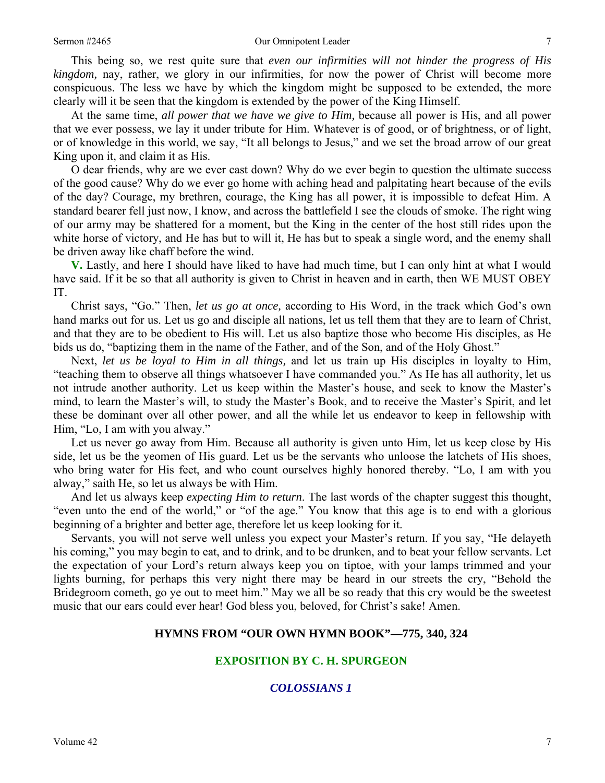#### Sermon #2465 **Our Omnipotent Leader** 7

This being so, we rest quite sure that *even our infirmities will not hinder the progress of His kingdom,* nay, rather, we glory in our infirmities, for now the power of Christ will become more conspicuous. The less we have by which the kingdom might be supposed to be extended, the more clearly will it be seen that the kingdom is extended by the power of the King Himself.

At the same time, *all power that we have we give to Him,* because all power is His, and all power that we ever possess, we lay it under tribute for Him. Whatever is of good, or of brightness, or of light, or of knowledge in this world, we say, "It all belongs to Jesus," and we set the broad arrow of our great King upon it, and claim it as His.

O dear friends, why are we ever cast down? Why do we ever begin to question the ultimate success of the good cause? Why do we ever go home with aching head and palpitating heart because of the evils of the day? Courage, my brethren, courage, the King has all power, it is impossible to defeat Him. A standard bearer fell just now, I know, and across the battlefield I see the clouds of smoke. The right wing of our army may be shattered for a moment, but the King in the center of the host still rides upon the white horse of victory, and He has but to will it, He has but to speak a single word, and the enemy shall be driven away like chaff before the wind.

**V.** Lastly, and here I should have liked to have had much time, but I can only hint at what I would have said. If it be so that all authority is given to Christ in heaven and in earth, then WE MUST OBEY IT.

Christ says, "Go." Then, *let us go at once,* according to His Word, in the track which God's own hand marks out for us. Let us go and disciple all nations, let us tell them that they are to learn of Christ, and that they are to be obedient to His will. Let us also baptize those who become His disciples, as He bids us do, "baptizing them in the name of the Father, and of the Son, and of the Holy Ghost."

Next, *let us be loyal to Him in all things,* and let us train up His disciples in loyalty to Him, "teaching them to observe all things whatsoever I have commanded you." As He has all authority, let us not intrude another authority. Let us keep within the Master's house, and seek to know the Master's mind, to learn the Master's will, to study the Master's Book, and to receive the Master's Spirit, and let these be dominant over all other power, and all the while let us endeavor to keep in fellowship with Him, "Lo, I am with you alway."

Let us never go away from Him. Because all authority is given unto Him, let us keep close by His side, let us be the yeomen of His guard. Let us be the servants who unloose the latchets of His shoes, who bring water for His feet, and who count ourselves highly honored thereby. "Lo, I am with you alway," saith He, so let us always be with Him.

And let us always keep *expecting Him to return*. The last words of the chapter suggest this thought, "even unto the end of the world," or "of the age." You know that this age is to end with a glorious beginning of a brighter and better age, therefore let us keep looking for it.

Servants, you will not serve well unless you expect your Master's return. If you say, "He delayeth his coming," you may begin to eat, and to drink, and to be drunken, and to beat your fellow servants. Let the expectation of your Lord's return always keep you on tiptoe, with your lamps trimmed and your lights burning, for perhaps this very night there may be heard in our streets the cry, "Behold the Bridegroom cometh, go ye out to meet him." May we all be so ready that this cry would be the sweetest music that our ears could ever hear! God bless you, beloved, for Christ's sake! Amen.

#### **HYMNS FROM "OUR OWN HYMN BOOK"—775, 340, 324**

#### **EXPOSITION BY C. H. SPURGEON**

## *COLOSSIANS 1*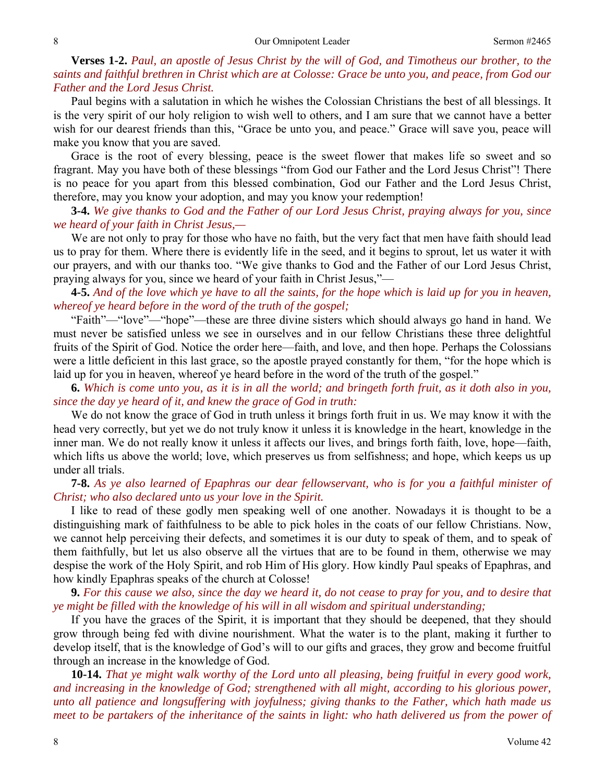# **Verses 1-2.** *Paul, an apostle of Jesus Christ by the will of God, and Timotheus our brother, to the saints and faithful brethren in Christ which are at Colosse: Grace be unto you, and peace, from God our Father and the Lord Jesus Christ.*

Paul begins with a salutation in which he wishes the Colossian Christians the best of all blessings. It is the very spirit of our holy religion to wish well to others, and I am sure that we cannot have a better wish for our dearest friends than this, "Grace be unto you, and peace." Grace will save you, peace will make you know that you are saved.

Grace is the root of every blessing, peace is the sweet flower that makes life so sweet and so fragrant. May you have both of these blessings "from God our Father and the Lord Jesus Christ"! There is no peace for you apart from this blessed combination, God our Father and the Lord Jesus Christ, therefore, may you know your adoption, and may you know your redemption!

**3-4.** *We give thanks to God and the Father of our Lord Jesus Christ, praying always for you, since we heard of your faith in Christ Jesus,—* 

We are not only to pray for those who have no faith, but the very fact that men have faith should lead us to pray for them. Where there is evidently life in the seed, and it begins to sprout, let us water it with our prayers, and with our thanks too. "We give thanks to God and the Father of our Lord Jesus Christ, praying always for you, since we heard of your faith in Christ Jesus,"—

# **4-5.** *And of the love which ye have to all the saints, for the hope which is laid up for you in heaven, whereof ye heard before in the word of the truth of the gospel;*

"Faith"—"love"—"hope"—these are three divine sisters which should always go hand in hand. We must never be satisfied unless we see in ourselves and in our fellow Christians these three delightful fruits of the Spirit of God. Notice the order here—faith, and love, and then hope. Perhaps the Colossians were a little deficient in this last grace, so the apostle prayed constantly for them, "for the hope which is laid up for you in heaven, whereof ye heard before in the word of the truth of the gospel."

**6.** *Which is come unto you, as it is in all the world; and bringeth forth fruit, as it doth also in you, since the day ye heard of it, and knew the grace of God in truth:* 

We do not know the grace of God in truth unless it brings forth fruit in us. We may know it with the head very correctly, but yet we do not truly know it unless it is knowledge in the heart, knowledge in the inner man. We do not really know it unless it affects our lives, and brings forth faith, love, hope—faith, which lifts us above the world; love, which preserves us from selfishness; and hope, which keeps us up under all trials.

### **7-8.** *As ye also learned of Epaphras our dear fellowservant, who is for you a faithful minister of Christ; who also declared unto us your love in the Spirit.*

I like to read of these godly men speaking well of one another. Nowadays it is thought to be a distinguishing mark of faithfulness to be able to pick holes in the coats of our fellow Christians. Now, we cannot help perceiving their defects, and sometimes it is our duty to speak of them, and to speak of them faithfully, but let us also observe all the virtues that are to be found in them, otherwise we may despise the work of the Holy Spirit, and rob Him of His glory. How kindly Paul speaks of Epaphras, and how kindly Epaphras speaks of the church at Colosse!

**9.** *For this cause we also, since the day we heard it, do not cease to pray for you, and to desire that ye might be filled with the knowledge of his will in all wisdom and spiritual understanding;* 

If you have the graces of the Spirit, it is important that they should be deepened, that they should grow through being fed with divine nourishment. What the water is to the plant, making it further to develop itself, that is the knowledge of God's will to our gifts and graces, they grow and become fruitful through an increase in the knowledge of God.

**10-14.** *That ye might walk worthy of the Lord unto all pleasing, being fruitful in every good work, and increasing in the knowledge of God; strengthened with all might, according to his glorious power, unto all patience and longsuffering with joyfulness; giving thanks to the Father, which hath made us meet to be partakers of the inheritance of the saints in light: who hath delivered us from the power of*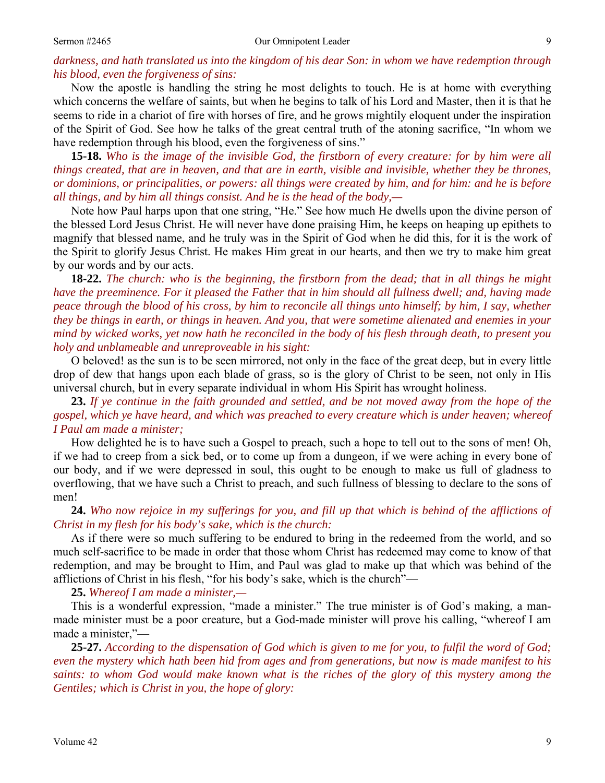# *darkness, and hath translated us into the kingdom of his dear Son: in whom we have redemption through his blood, even the forgiveness of sins:*

Now the apostle is handling the string he most delights to touch. He is at home with everything which concerns the welfare of saints, but when he begins to talk of his Lord and Master, then it is that he seems to ride in a chariot of fire with horses of fire, and he grows mightily eloquent under the inspiration of the Spirit of God. See how he talks of the great central truth of the atoning sacrifice, "In whom we have redemption through his blood, even the forgiveness of sins."

**15-18.** *Who is the image of the invisible God, the firstborn of every creature: for by him were all things created, that are in heaven, and that are in earth, visible and invisible, whether they be thrones, or dominions, or principalities, or powers: all things were created by him, and for him: and he is before all things, and by him all things consist. And he is the head of the body,—* 

Note how Paul harps upon that one string, "He." See how much He dwells upon the divine person of the blessed Lord Jesus Christ. He will never have done praising Him, he keeps on heaping up epithets to magnify that blessed name, and he truly was in the Spirit of God when he did this, for it is the work of the Spirit to glorify Jesus Christ. He makes Him great in our hearts, and then we try to make him great by our words and by our acts.

**18-22.** *The church: who is the beginning, the firstborn from the dead; that in all things he might have the preeminence. For it pleased the Father that in him should all fullness dwell; and, having made peace through the blood of his cross, by him to reconcile all things unto himself; by him, I say, whether they be things in earth, or things in heaven. And you, that were sometime alienated and enemies in your mind by wicked works, yet now hath he reconciled in the body of his flesh through death, to present you holy and unblameable and unreproveable in his sight:* 

O beloved! as the sun is to be seen mirrored, not only in the face of the great deep, but in every little drop of dew that hangs upon each blade of grass, so is the glory of Christ to be seen, not only in His universal church, but in every separate individual in whom His Spirit has wrought holiness.

**23.** *If ye continue in the faith grounded and settled, and be not moved away from the hope of the gospel, which ye have heard, and which was preached to every creature which is under heaven; whereof I Paul am made a minister;* 

How delighted he is to have such a Gospel to preach, such a hope to tell out to the sons of men! Oh, if we had to creep from a sick bed, or to come up from a dungeon, if we were aching in every bone of our body, and if we were depressed in soul, this ought to be enough to make us full of gladness to overflowing, that we have such a Christ to preach, and such fullness of blessing to declare to the sons of men!

**24.** *Who now rejoice in my sufferings for you, and fill up that which is behind of the afflictions of Christ in my flesh for his body's sake, which is the church:* 

As if there were so much suffering to be endured to bring in the redeemed from the world, and so much self-sacrifice to be made in order that those whom Christ has redeemed may come to know of that redemption, and may be brought to Him, and Paul was glad to make up that which was behind of the afflictions of Christ in his flesh, "for his body's sake, which is the church"—

**25.** *Whereof I am made a minister,—* 

This is a wonderful expression, "made a minister." The true minister is of God's making, a manmade minister must be a poor creature, but a God-made minister will prove his calling, "whereof I am made a minister,"—

**25-27.** *According to the dispensation of God which is given to me for you, to fulfil the word of God; even the mystery which hath been hid from ages and from generations, but now is made manifest to his saints: to whom God would make known what is the riches of the glory of this mystery among the Gentiles; which is Christ in you, the hope of glory:*